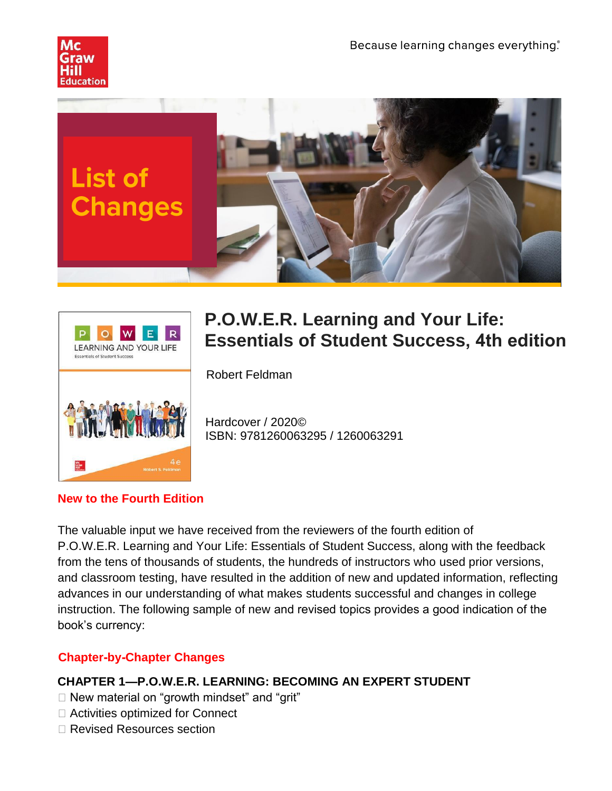





# **P.O.W.E.R. Learning and Your Life: Essentials of Student Success, 4th edition**

Robert Feldman

Hardcover / 2020© ISBN: 9781260063295 / 1260063291

#### **New to the Fourth Edition**

The valuable input we have received from the reviewers of the fourth edition of P.O.W.E.R. Learning and Your Life: Essentials of Student Success, along with the feedback from the tens of thousands of students, the hundreds of instructors who used prior versions, and classroom testing, have resulted in the addition of new and updated information, reflecting advances in our understanding of what makes students successful and changes in college instruction. The following sample of new and revised topics provides a good indication of the book's currency:

#### **Chapter-by-Chapter Changes**

# **CHAPTER 1—P.O.W.E.R. LEARNING: BECOMING AN EXPERT STUDENT**

- $\Box$  New material on "growth mindset" and "grit"
- $\Box$  Activities optimized for Connect
- □ Revised Resources section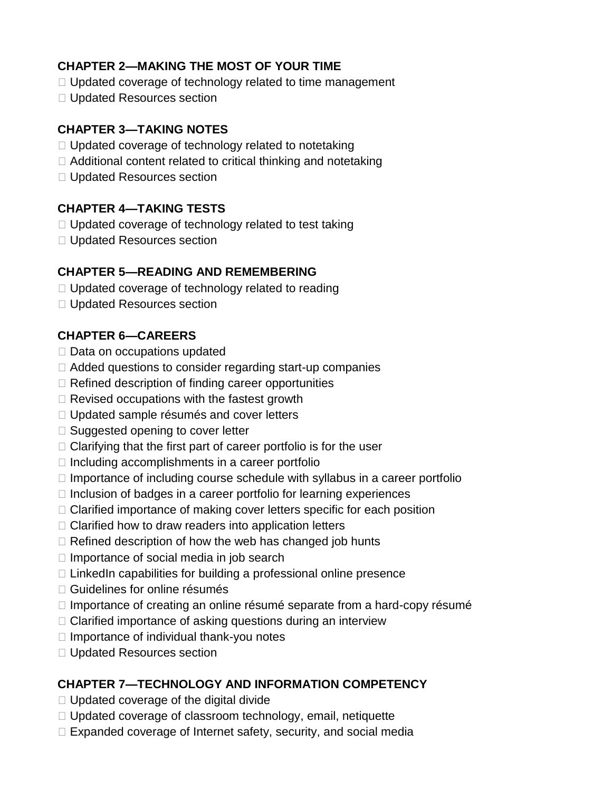## **CHAPTER 2—MAKING THE MOST OF YOUR TIME**

- $\Box$  Updated coverage of technology related to time management
- □ Updated Resources section

# **CHAPTER 3—TAKING NOTES**

- $\Box$  Updated coverage of technology related to notetaking
- $\Box$  Additional content related to critical thinking and notetaking
- □ Updated Resources section

# **CHAPTER 4—TAKING TESTS**

- $\Box$  Updated coverage of technology related to test taking
- $\Box$  Updated Resources section

#### **CHAPTER 5—READING AND REMEMBERING**

- $\Box$  Updated coverage of technology related to reading
- □ Updated Resources section

# **CHAPTER 6—CAREERS**

- $\Box$  Data on occupations updated
- $\Box$  Added questions to consider regarding start-up companies
- $\Box$  Refined description of finding career opportunities
- $\Box$  Revised occupations with the fastest growth
- $\Box$  Updated sample résumés and cover letters
- $\Box$  Suggested opening to cover letter
- $\Box$  Clarifying that the first part of career portfolio is for the user
- $\Box$  Including accomplishments in a career portfolio
- $\Box$  Importance of including course schedule with syllabus in a career portfolio
- $\Box$  Inclusion of badges in a career portfolio for learning experiences
- $\Box$  Clarified importance of making cover letters specific for each position
- $\Box$  Clarified how to draw readers into application letters
- $\Box$  Refined description of how the web has changed job hunts
- $\Box$  Importance of social media in job search
- $\Box$  LinkedIn capabilities for building a professional online presence
- $\Box$  Guidelines for online résumés
- $\Box$  Importance of creating an online résumé separate from a hard-copy résumé
- $\Box$  Clarified importance of asking questions during an interview
- $\Box$  Importance of individual thank-you notes
- □ Updated Resources section

# **CHAPTER 7—TECHNOLOGY AND INFORMATION COMPETENCY**

- $\Box$  Updated coverage of the digital divide
- $\Box$  Updated coverage of classroom technology, email, netiquette
- $\Box$  Expanded coverage of Internet safety, security, and social media